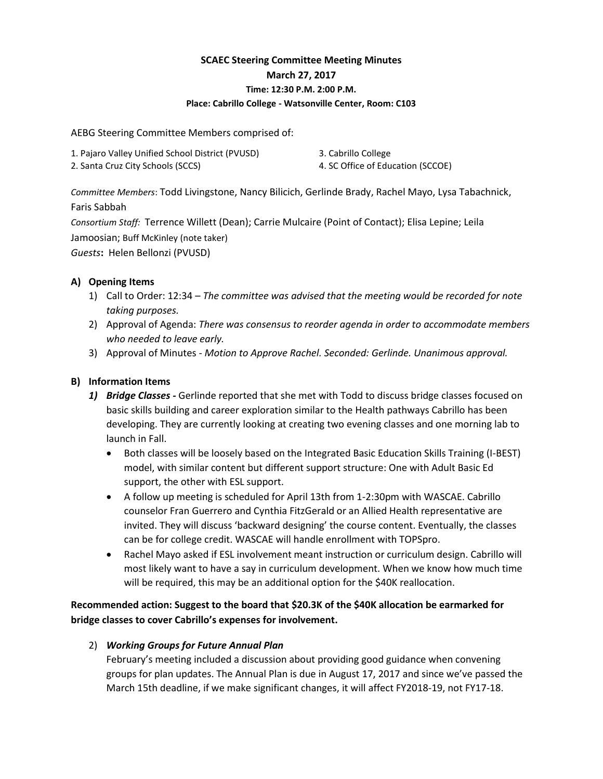# **SCAEC Steering Committee Meeting Minutes March 27, 2017 Time: 12:30 P.M. 2:00 P.M. Place: Cabrillo College - Watsonville Center, Room: C103**

AEBG Steering Committee Members comprised of:

| 1. Pajaro Valley Unified School District (PVUSD) | 3. Cabrillo College               |
|--------------------------------------------------|-----------------------------------|
| 2. Santa Cruz City Schools (SCCS)                | 4. SC Office of Education (SCCOE) |

*Committee Members*: Todd Livingstone, Nancy Bilicich, Gerlinde Brady, Rachel Mayo, Lysa Tabachnick, Faris Sabbah

*Consortium Staff:* Terrence Willett (Dean); Carrie Mulcaire (Point of Contact); Elisa Lepine; Leila Jamoosian; Buff McKinley (note taker) *Guests***:** Helen Bellonzi (PVUSD)

## **A) Opening Items**

- 1) Call to Order: 12:34 *The committee was advised that the meeting would be recorded for note taking purposes.*
- 2) Approval of Agenda: *There was consensus to reorder agenda in order to accommodate members who needed to leave early.*
- 3) Approval of Minutes *Motion to Approve Rachel. Seconded: Gerlinde. Unanimous approval.*

# **B) Information Items**

- *1) Bridge Classes -* Gerlinde reported that she met with Todd to discuss bridge classes focused on basic skills building and career exploration similar to the Health pathways Cabrillo has been developing. They are currently looking at creating two evening classes and one morning lab to launch in Fall.
	- Both classes will be loosely based on the Integrated Basic Education Skills Training (I-BEST) model, with similar content but different support structure: One with Adult Basic Ed support, the other with ESL support.
	- A follow up meeting is scheduled for April 13th from 1-2:30pm with WASCAE. Cabrillo counselor Fran Guerrero and Cynthia FitzGerald or an Allied Health representative are invited. They will discuss 'backward designing' the course content. Eventually, the classes can be for college credit. WASCAE will handle enrollment with TOPSpro.
	- Rachel Mayo asked if ESL involvement meant instruction or curriculum design. Cabrillo will most likely want to have a say in curriculum development. When we know how much time will be required, this may be an additional option for the \$40K reallocation.

**Recommended action: Suggest to the board that \$20.3K of the \$40K allocation be earmarked for bridge classes to cover Cabrillo's expenses for involvement.**

# 2) *Working Groups for Future Annual Plan*

February's meeting included a discussion about providing good guidance when convening groups for plan updates. The Annual Plan is due in August 17, 2017 and since we've passed the March 15th deadline, if we make significant changes, it will affect FY2018-19, not FY17-18.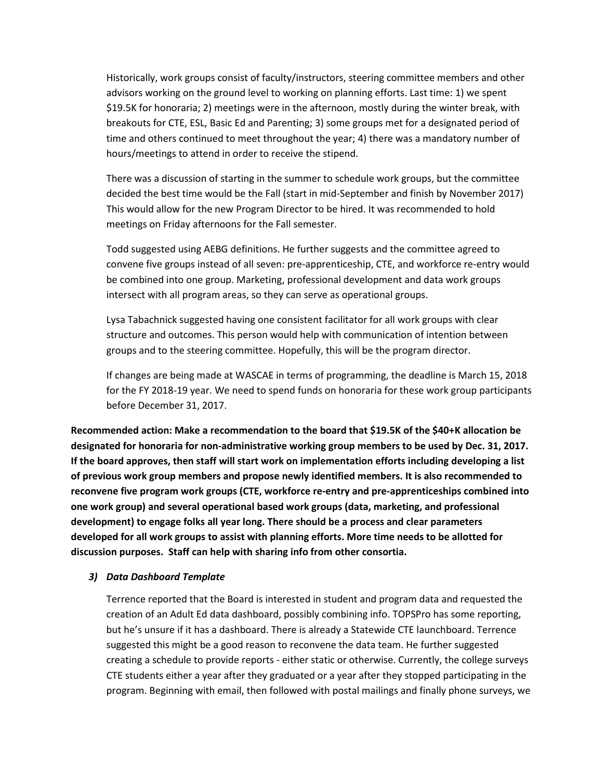Historically, work groups consist of faculty/instructors, steering committee members and other advisors working on the ground level to working on planning efforts. Last time: 1) we spent \$19.5K for honoraria; 2) meetings were in the afternoon, mostly during the winter break, with breakouts for CTE, ESL, Basic Ed and Parenting; 3) some groups met for a designated period of time and others continued to meet throughout the year; 4) there was a mandatory number of hours/meetings to attend in order to receive the stipend.

There was a discussion of starting in the summer to schedule work groups, but the committee decided the best time would be the Fall (start in mid-September and finish by November 2017) This would allow for the new Program Director to be hired. It was recommended to hold meetings on Friday afternoons for the Fall semester.

Todd suggested using AEBG definitions. He further suggests and the committee agreed to convene five groups instead of all seven: pre-apprenticeship, CTE, and workforce re-entry would be combined into one group. Marketing, professional development and data work groups intersect with all program areas, so they can serve as operational groups.

Lysa Tabachnick suggested having one consistent facilitator for all work groups with clear structure and outcomes. This person would help with communication of intention between groups and to the steering committee. Hopefully, this will be the program director.

If changes are being made at WASCAE in terms of programming, the deadline is March 15, 2018 for the FY 2018-19 year. We need to spend funds on honoraria for these work group participants before December 31, 2017.

**Recommended action: Make a recommendation to the board that \$19.5K of the \$40+K allocation be designated for honoraria for non-administrative working group members to be used by Dec. 31, 2017. If the board approves, then staff will start work on implementation efforts including developing a list of previous work group members and propose newly identified members. It is also recommended to reconvene five program work groups (CTE, workforce re-entry and pre-apprenticeships combined into one work group) and several operational based work groups (data, marketing, and professional development) to engage folks all year long. There should be a process and clear parameters developed for all work groups to assist with planning efforts. More time needs to be allotted for discussion purposes. Staff can help with sharing info from other consortia.**

#### *3) Data Dashboard Template*

Terrence reported that the Board is interested in student and program data and requested the creation of an Adult Ed data dashboard, possibly combining info. TOPSPro has some reporting, but he's unsure if it has a dashboard. There is already a Statewide CTE launchboard. Terrence suggested this might be a good reason to reconvene the data team. He further suggested creating a schedule to provide reports - either static or otherwise. Currently, the college surveys CTE students either a year after they graduated or a year after they stopped participating in the program. Beginning with email, then followed with postal mailings and finally phone surveys, we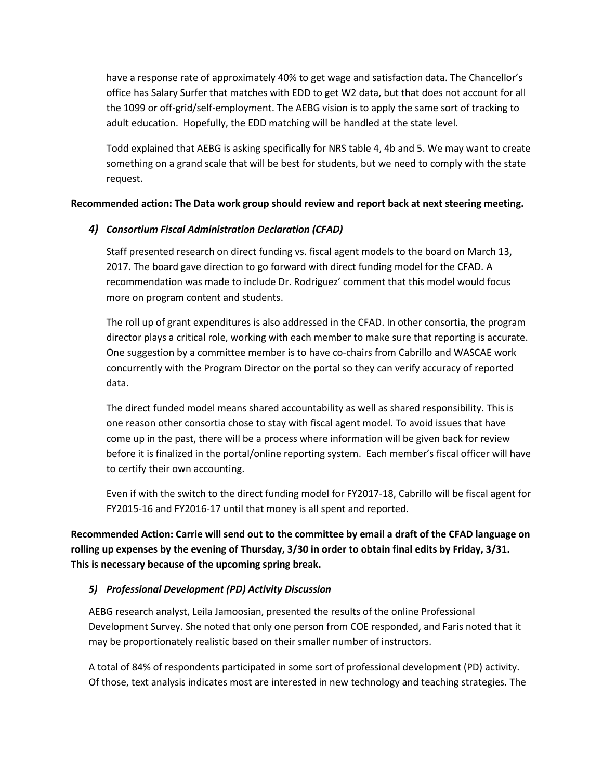have a response rate of approximately 40% to get wage and satisfaction data. The Chancellor's office has Salary Surfer that matches with EDD to get W2 data, but that does not account for all the 1099 or off-grid/self-employment. The AEBG vision is to apply the same sort of tracking to adult education. Hopefully, the EDD matching will be handled at the state level.

Todd explained that AEBG is asking specifically for NRS table 4, 4b and 5. We may want to create something on a grand scale that will be best for students, but we need to comply with the state request.

### **Recommended action: The Data work group should review and report back at next steering meeting.**

### *4) Consortium Fiscal Administration Declaration (CFAD)*

Staff presented research on direct funding vs. fiscal agent models to the board on March 13, 2017. The board gave direction to go forward with direct funding model for the CFAD. A recommendation was made to include Dr. Rodriguez' comment that this model would focus more on program content and students.

The roll up of grant expenditures is also addressed in the CFAD. In other consortia, the program director plays a critical role, working with each member to make sure that reporting is accurate. One suggestion by a committee member is to have co-chairs from Cabrillo and WASCAE work concurrently with the Program Director on the portal so they can verify accuracy of reported data.

The direct funded model means shared accountability as well as shared responsibility. This is one reason other consortia chose to stay with fiscal agent model. To avoid issues that have come up in the past, there will be a process where information will be given back for review before it is finalized in the portal/online reporting system. Each member's fiscal officer will have to certify their own accounting.

Even if with the switch to the direct funding model for FY2017-18, Cabrillo will be fiscal agent for FY2015-16 and FY2016-17 until that money is all spent and reported.

**Recommended Action: Carrie will send out to the committee by email a draft of the CFAD language on rolling up expenses by the evening of Thursday, 3/30 in order to obtain final edits by Friday, 3/31. This is necessary because of the upcoming spring break.** 

#### *5) Professional Development (PD) Activity Discussion*

AEBG research analyst, Leila Jamoosian, presented the results of the online Professional Development Survey. She noted that only one person from COE responded, and Faris noted that it may be proportionately realistic based on their smaller number of instructors.

A total of 84% of respondents participated in some sort of professional development (PD) activity. Of those, text analysis indicates most are interested in new technology and teaching strategies. The